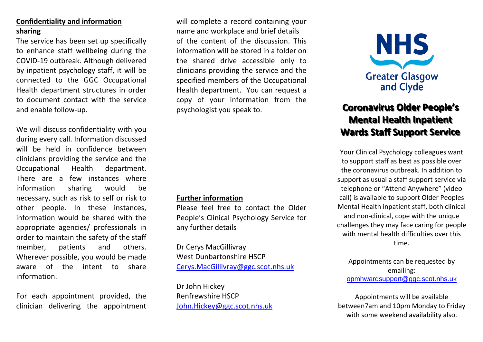#### **Confidentiality and information sharing**

The service has been set up specifically to enhance staff wellbeing during the COVID-19 outbreak. Although delivered by inpatient psychology staff, it will be connected to the GGC Occupational Health department structures in order to document contact with the service and enable follow-up.

We will discuss confidentiality with you during every call. Information discussed will be held in confidence between clinicians providing the service and the Occupational Health department. There are a few instances where information sharing would be necessary, such as risk to self or risk to other people. In these instances, information would be shared with the appropriate agencies/ professionals in order to maintain the safety of the staff member, patients and others. Wherever possible, you would be made aware of the intent to share information.

For each appointment provided, the clinician delivering the appointment will complete a record containing your name and workplace and brief details of the content of the discussion. This information will be stored in a folder on the shared drive accessible only to clinicians providing the service and the specified members of the Occupational Health department. You can request a copy of your information from the psychologist you speak to.

#### **Further information**

Please feel free to contact the Older People's Clinical Psychology Service for any further details

Dr Cerys MacGillivray West Dunbartonshire HSCP [Cerys.MacGillivray@ggc.scot.nhs.uk](mailto:Cerys.MacGillivray@ggc.scot.nhs.uk)

Dr John Hickey Renfrewshire HSCP [John.Hickey@ggc.scot.nhs.uk](mailto:John.Hickey@ggc.scot.nhs.uk)



### **Coronavirus Older People's Mental Health Inpatient Wards Staff Support Service**

Your Clinical Psychology colleagues want to support staff as best as possible over the coronavirus outbreak. In addition to support as usual a staff support service via telephone or "Attend Anywhere" (video call) is available to support Older Peoples Mental Health inpatient staff, both clinical and non-clinical, cope with the unique challenges they may face caring for people with mental health difficulties over this time.

Appointments can be requested by emailing: [opmhwardsupport@ggc.scot.nhs.uk](mailto:opmhwardsupport@ggc.scot.nhs.uk)

Appointments will be available between7am and 10pm Monday to Friday with some weekend availability also.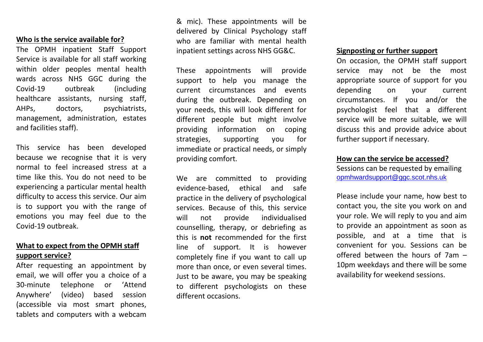#### **Who is the service available for?**

The OPMH inpatient Staff Support Service is available for all staff working within older peoples mental health wards across NHS GGC during the Covid-19 outbreak (including healthcare assistants, nursing staff, AHPs, doctors, psychiatrists, management, administration, estates and facilities staff).

This service has been developed because we recognise that it is very normal to feel increased stress at a time like this. You do not need to be experiencing a particular mental health difficulty to access this service. Our aim is to support you with the range of emotions you may feel due to the Covid-19 outbreak.

#### **What to expect from the OPMH staff support service?**

After requesting an appointment by email, we will offer you a choice of a 30-minute telephone or 'Attend Anywhere' (video) based session (accessible via most smart phones, tablets and computers with a webcam & mic). These appointments will be delivered by Clinical Psychology staff who are familiar with mental health inpatient settings across NHS GG&C.

These appointments will provide support to help you manage the current circumstances and events during the outbreak. Depending on your needs, this will look different for different people but might involve providing information on coping strategies, supporting you for immediate or practical needs, or simply providing comfort.

We are committed to providing evidence-based, ethical and safe practice in the delivery of psychological services. Because of this, this service will not provide individualised counselling, therapy, or debriefing as this is **not** recommended for the first line of support. It is however completely fine if you want to call up more than once, or even several times. Just to be aware, you may be speaking to different psychologists on these different occasions.

#### **Signposting or further support**

On occasion, the OPMH staff support service may not be the most appropriate source of support for you depending on your current circumstances. If you and/or the psychologist feel that a different service will be more suitable, we will discuss this and provide advice about further support if necessary.

#### **How can the service be accessed?**

Sessions can be requested by emailing [opmhwardsupport@ggc.scot.nhs.uk](mailto:opmhwardsupport@ggc.scot.nhs.uk)

Please include your name, how best to contact you, the site you work on and your role. We will reply to you and aim to provide an appointment as soon as possible, and at a time that is convenient for you. Sessions can be offered between the hours of 7am – 10pm weekdays and there will be some availability for weekend sessions.